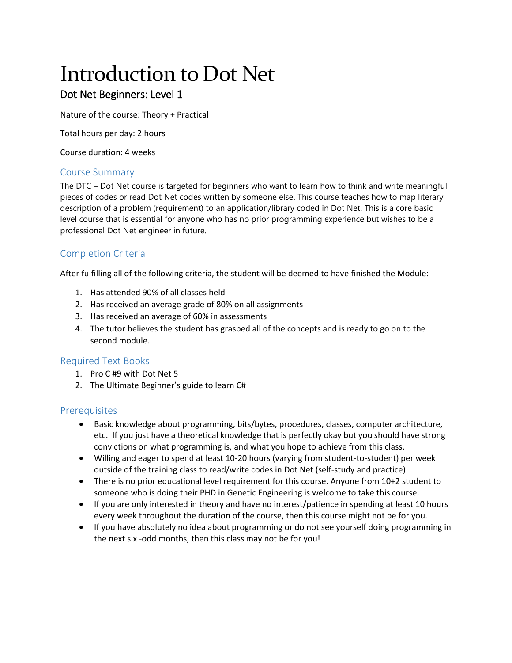# Introduction to Dot Net

# Dot Net Beginners: Level 1

Nature of the course: Theory + Practical

Total hours per day: 2 hours

Course duration: 4 weeks

# Course Summary

The DTC – Dot Net course is targeted for beginners who want to learn how to think and write meaningful pieces of codes or read Dot Net codes written by someone else. This course teaches how to map literary description of a problem (requirement) to an application/library coded in Dot Net. This is a core basic level course that is essential for anyone who has no prior programming experience but wishes to be a professional Dot Net engineer in future.

# Completion Criteria

After fulfilling all of the following criteria, the student will be deemed to have finished the Module:

- 1. Has attended 90% of all classes held
- 2. Has received an average grade of 80% on all assignments
- 3. Has received an average of 60% in assessments
- 4. The tutor believes the student has grasped all of the concepts and is ready to go on to the second module.

# Required Text Books

- 1. Pro C #9 with Dot Net 5
- 2. The Ultimate Beginner's guide to learn C#

# **Prerequisites**

- Basic knowledge about programming, bits/bytes, procedures, classes, computer architecture, etc. If you just have a theoretical knowledge that is perfectly okay but you should have strong convictions on what programming is, and what you hope to achieve from this class.
- Willing and eager to spend at least 10-20 hours (varying from student-to-student) per week outside of the training class to read/write codes in Dot Net (self-study and practice).
- There is no prior educational level requirement for this course. Anyone from 10+2 student to someone who is doing their PHD in Genetic Engineering is welcome to take this course.
- If you are only interested in theory and have no interest/patience in spending at least 10 hours every week throughout the duration of the course, then this course might not be for you.
- If you have absolutely no idea about programming or do not see yourself doing programming in the next six -odd months, then this class may not be for you!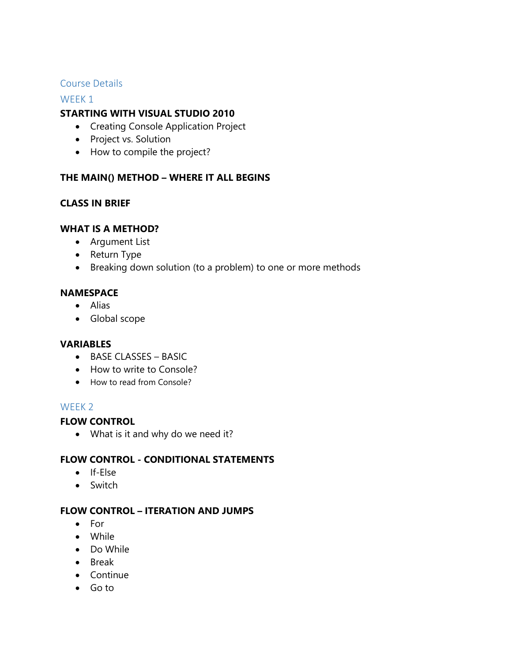# Course Details

#### WEEK<sub>1</sub>

# **STARTING WITH VISUAL STUDIO 2010**

- Creating Console Application Project
- Project vs. Solution
- How to compile the project?

# **THE MAIN() METHOD – WHERE IT ALL BEGINS**

# **CLASS IN BRIEF**

## **WHAT IS A METHOD?**

- Argument List
- Return Type
- Breaking down solution (to a problem) to one or more methods

## **NAMESPACE**

- Alias
- Global scope

#### **VARIABLES**

- BASE CLASSES BASIC
- How to write to Console?
- How to read from Console?

# WEEK 2

# **FLOW CONTROL**

What is it and why do we need it?

# **FLOW CONTROL - CONDITIONAL STATEMENTS**

- If-Else
- Switch

# **FLOW CONTROL – ITERATION AND JUMPS**

- For
- While
- Do While
- Break
- Continue
- Go to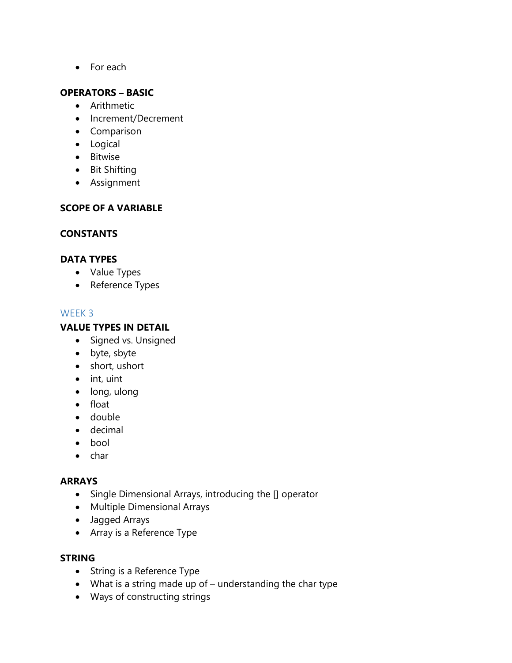• For each

# **OPERATORS – BASIC**

- Arithmetic
- Increment/Decrement
- Comparison
- Logical
- **•** Bitwise
- Bit Shifting
- Assignment

## **SCOPE OF A VARIABLE**

## **CONSTANTS**

## **DATA TYPES**

- Value Types
- Reference Types

## WEEK 3

# **VALUE TYPES IN DETAIL**

- Signed vs. Unsigned
- byte, sbyte
- short, ushort
- $\bullet$  int, uint
- long, ulong
- float
- double
- decimal
- bool
- $\bullet$  char

#### **ARRAYS**

- Single Dimensional Arrays, introducing the [] operator
- Multiple Dimensional Arrays
- Jagged Arrays
- Array is a Reference Type

# **STRING**

- String is a Reference Type
- What is a string made up of understanding the char type
- Ways of constructing strings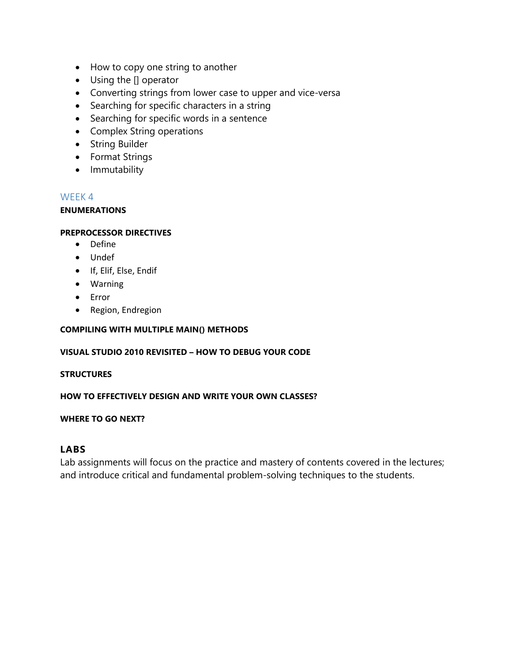- How to copy one string to another
- Using the [] operator
- Converting strings from lower case to upper and vice-versa
- Searching for specific characters in a string
- Searching for specific words in a sentence
- Complex String operations
- String Builder
- Format Strings
- Immutability

#### **ENUMERATIONS**

#### **PREPROCESSOR DIRECTIVES**

- Define
- Undef
- **•** If, Elif, Else, Endif
- Warning
- Error
- Region, Endregion

#### **COMPILING WITH MULTIPLE MAIN() METHODS**

#### **VISUAL STUDIO 2010 REVISITED – HOW TO DEBUG YOUR CODE**

#### **STRUCTURES**

#### **HOW TO EFFECTIVELY DESIGN AND WRITE YOUR OWN CLASSES?**

#### **WHERE TO GO NEXT?**

#### **LABS**

Lab assignments will focus on the practice and mastery of contents covered in the lectures; and introduce critical and fundamental problem-solving techniques to the students.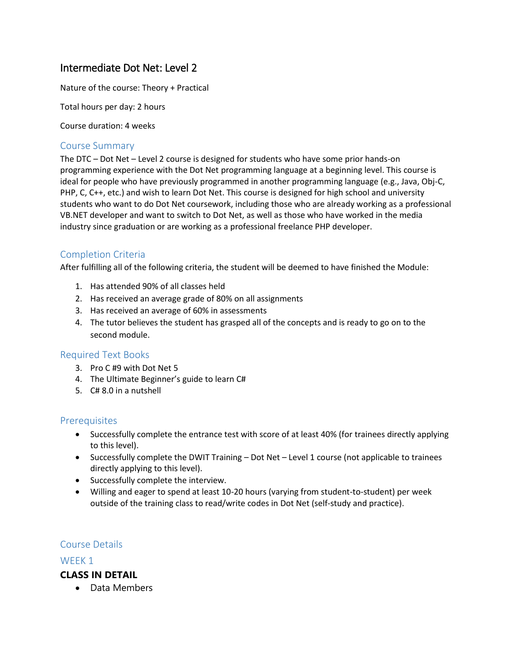# Intermediate Dot Net: Level 2

Nature of the course: Theory + Practical

Total hours per day: 2 hours

Course duration: 4 weeks

## Course Summary

The DTC – Dot Net – Level 2 course is designed for students who have some prior hands-on programming experience with the Dot Net programming language at a beginning level. This course is ideal for people who have previously programmed in another programming language (e.g., Java, Obj-C, PHP, C, C++, etc.) and wish to learn Dot Net. This course is designed for high school and university students who want to do Dot Net coursework, including those who are already working as a professional VB.NET developer and want to switch to Dot Net, as well as those who have worked in the media industry since graduation or are working as a professional freelance PHP developer.

# Completion Criteria

After fulfilling all of the following criteria, the student will be deemed to have finished the Module:

- 1. Has attended 90% of all classes held
- 2. Has received an average grade of 80% on all assignments
- 3. Has received an average of 60% in assessments
- 4. The tutor believes the student has grasped all of the concepts and is ready to go on to the second module.

#### Required Text Books

- 3. Pro C #9 with Dot Net 5
- 4. The Ultimate Beginner's guide to learn C#
- 5. C# 8.0 in a nutshell

#### **Prerequisites**

- Successfully complete the entrance test with score of at least 40% (for trainees directly applying to this level).
- Successfully complete the DWIT Training Dot Net Level 1 course (not applicable to trainees directly applying to this level).
- Successfully complete the interview.
- Willing and eager to spend at least 10-20 hours (varying from student-to-student) per week outside of the training class to read/write codes in Dot Net (self-study and practice).

#### Course Details

#### WEEK 1

#### **CLASS IN DETAIL**

• Data Members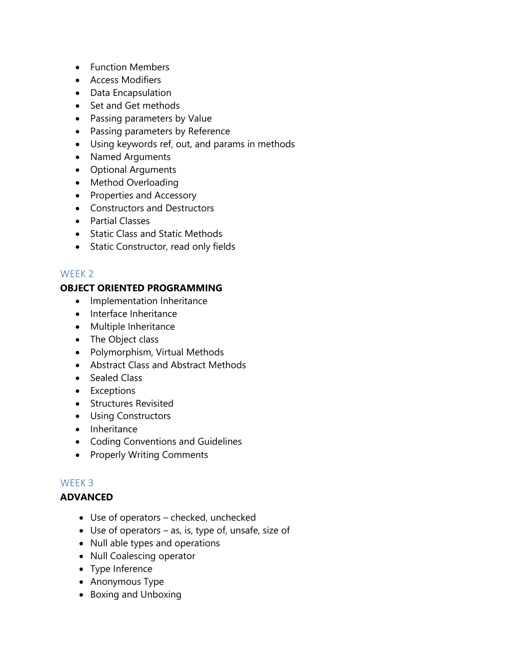- Function Members
- Access Modifiers
- Data Encapsulation
- Set and Get methods
- Passing parameters by Value
- Passing parameters by Reference
- Using keywords ref, out, and params in methods
- Named Arguments
- Optional Arguments
- Method Overloading
- Properties and Accessory
- Constructors and Destructors
- Partial Classes
- Static Class and Static Methods
- Static Constructor, read only fields

# **OBJECT ORIENTED PROGRAMMING**

- Implementation Inheritance
- Interface Inheritance
- Multiple Inheritance
- The Object class
- Polymorphism, Virtual Methods
- Abstract Class and Abstract Methods
- Sealed Class
- Exceptions
- **•** Structures Revisited
- Using Constructors
- Inheritance
- Coding Conventions and Guidelines
- Properly Writing Comments

# WEEK 3

# **ADVANCED**

- Use of operators checked, unchecked
- $\bullet$  Use of operators as, is, type of, unsafe, size of
- Null able types and operations
- Null Coalescing operator
- Type Inference
- Anonymous Type
- Boxing and Unboxing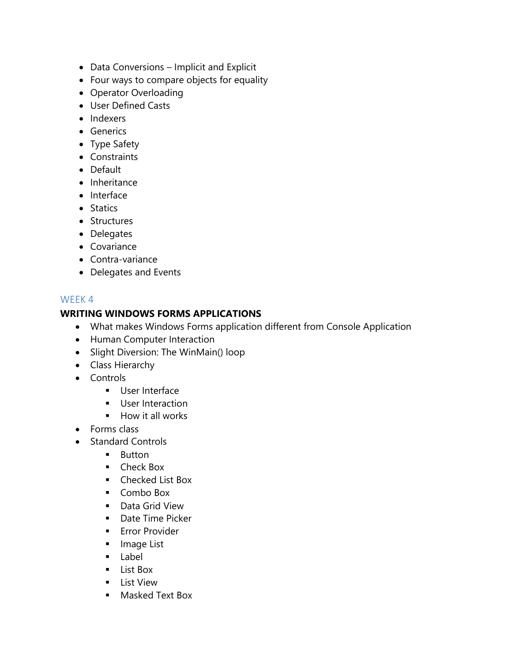- Data Conversions Implicit and Explicit
- Four ways to compare objects for equality
- Operator Overloading
- User Defined Casts
- Indexers
- **•** Generics
- Type Safety
- Constraints
- Default
- Inheritance
- Interface
- Statics
- Structures
- Delegates
- Covariance
- Contra-variance
- Delegates and Events

# **WRITING WINDOWS FORMS APPLICATIONS**

- What makes Windows Forms application different from Console Application
- Human Computer Interaction
- Slight Diversion: The WinMain() loop
- Class Hierarchy
- Controls
	- **User Interface**
	- **User Interaction**
	- $\blacksquare$  How it all works
- Forms class
- Standard Controls
	- **Button**
	- **Check Box**
	- **Checked List Box**
	- Combo Box
	- **Data Grid View**
	- **Date Time Picker**
	- **Error Provider**
	- **Image List**
	- Label
	- **List Box**
	- **List View**
	- **Masked Text Box**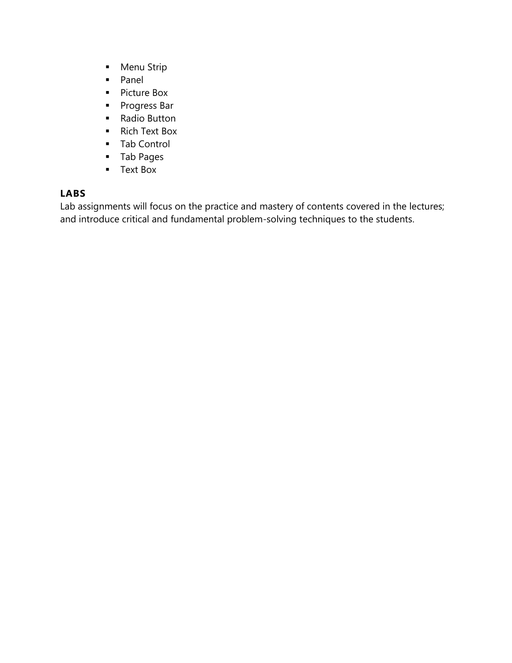- **Menu Strip**
- **Panel**
- **Picture Box**
- **Progress Bar**
- Radio Button
- **Rich Text Box**
- **Tab Control**
- Tab Pages
- **Text Box**

# **LABS**

Lab assignments will focus on the practice and mastery of contents covered in the lectures; and introduce critical and fundamental problem-solving techniques to the students.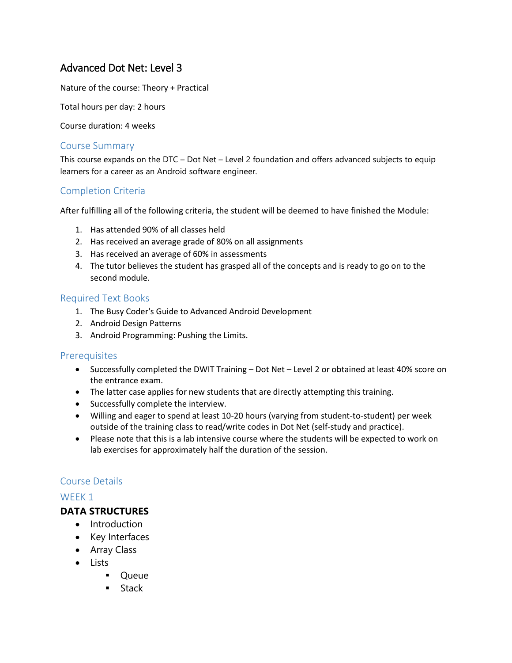# Advanced Dot Net: Level 3

Nature of the course: Theory + Practical

Total hours per day: 2 hours

Course duration: 4 weeks

## Course Summary

This course expands on the DTC – Dot Net – Level 2 foundation and offers advanced subjects to equip learners for a career as an Android software engineer.

# Completion Criteria

After fulfilling all of the following criteria, the student will be deemed to have finished the Module:

- 1. Has attended 90% of all classes held
- 2. Has received an average grade of 80% on all assignments
- 3. Has received an average of 60% in assessments
- 4. The tutor believes the student has grasped all of the concepts and is ready to go on to the second module.

#### Required Text Books

- 1. The Busy Coder's Guide to Advanced Android Development
- 2. Android Design Patterns
- 3. Android Programming: Pushing the Limits.

#### **Prerequisites**

- Successfully completed the DWIT Training Dot Net Level 2 or obtained at least 40% score on the entrance exam.
- The latter case applies for new students that are directly attempting this training.
- Successfully complete the interview.
- Willing and eager to spend at least 10-20 hours (varying from student-to-student) per week outside of the training class to read/write codes in Dot Net (self-study and practice).
- Please note that this is a lab intensive course where the students will be expected to work on lab exercises for approximately half the duration of the session.

# Course Details

# WEEK<sub>1</sub>

#### **DATA STRUCTURES**

- Introduction
- Key Interfaces
- Array Class
- Lists
	- **•** Queue
	- **Stack**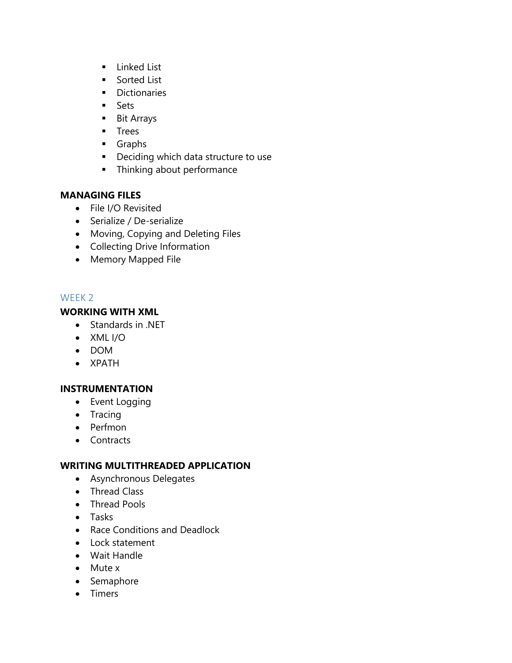- **Linked List**
- **Sorted List**
- **Dictionaries**
- **Sets**
- **Bit Arrays**
- **Trees**
- **Graphs**
- **•** Deciding which data structure to use
- **Filter** Thinking about performance

# **MANAGING FILES**

- File I/O Revisited
- Serialize / De-serialize
- Moving, Copying and Deleting Files
- Collecting Drive Information
- Memory Mapped File

# WEEK 2

# **WORKING WITH XML**

- Standards in .NET
- XML I/O
- DOM
- XPATH

# **INSTRUMENTATION**

- Event Logging
- $\bullet$  Tracing
- Perfmon
- Contracts

# **WRITING MULTITHREADED APPLICATION**

- Asynchronous Delegates
- Thread Class
- Thread Pools
- Tasks
- Race Conditions and Deadlock
- Lock statement
- Wait Handle
- Mute x
- Semaphore
- Timers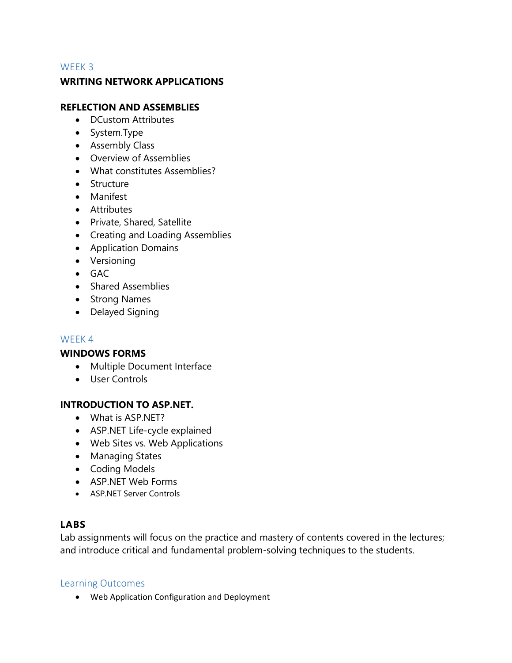## **WRITING NETWORK APPLICATIONS**

## **REFLECTION AND ASSEMBLIES**

- DCustom Attributes
- System.Type
- Assembly Class
- Overview of Assemblies
- What constitutes Assemblies?
- **Structure**
- Manifest
- **•** Attributes
- Private, Shared, Satellite
- Creating and Loading Assemblies
- Application Domains
- Versioning
- $-$  GAC
- Shared Assemblies
- Strong Names
- Delayed Signing

#### WEEK 4

#### **WINDOWS FORMS**

- Multiple Document Interface
- User Controls

#### **INTRODUCTION TO ASP.NET.**

- What is ASP.NET?
- ASP.NET Life-cycle explained
- Web Sites vs. Web Applications
- Managing States
- Coding Models
- ASP.NET Web Forms
- ASP.NET Server Controls

# **LABS**

Lab assignments will focus on the practice and mastery of contents covered in the lectures; and introduce critical and fundamental problem-solving techniques to the students.

#### Learning Outcomes

Web Application Configuration and Deployment